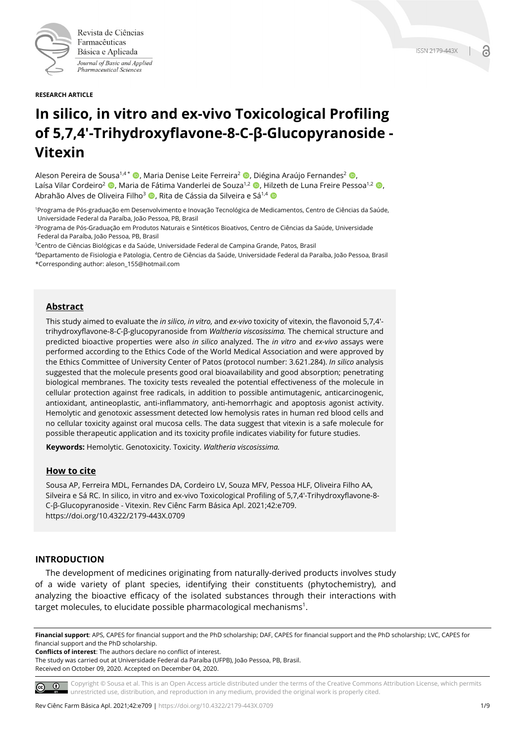

Revista de Ciências Farmacêuticas Básica e Aplicada Journal of Basic and Applied Pharmaceutical Sciences

# **In silico, in vitro and ex-vivo Toxicological Profiling of 5,7,4'-Trihydroxyflavone-8-C-β-Glucopyranoside - Vitexin**

Aleson Pereira de Sousa<sup>1,4 \*</sup>  $\bullet$ , Maria Denise Leite Ferreira<sup>2</sup>  $\bullet$ , Diégina Araújo Fernandes<sup>2</sup>  $\bullet$ , Laísa Vilar Cordeiro<sup>2</sup> **©**, Maria de Fátima Vanderlei de Souza<sup>1,2</sup> ©, Hilzeth de Luna Freire Pessoa<sup>1,2</sup> ©, Abrahão Alves de Oliveira Filho<sup>3</sup> **D**. Rita de Cássia da Silveira e Sá<sup>1,4</sup> D

1Programa de Pós-graduação em Desenvolvimento e Inovação Tecnológica de Medicamentos, Centro de Ciências da Saúde, Universidade Federal da Paraíba, João Pessoa, PB, Brasil

2Programa de Pós-Graduação em Produtos Naturais e Sintéticos Bioativos, Centro de Ciências da Saúde, Universidade Federal da Paraíba, João Pessoa, PB, Brasil

3Centro de Ciências Biológicas e da Saúde, Universidade Federal de Campina Grande, Patos, Brasil

4Departamento de Fisiologia e Patologia, Centro de Ciências da Saúde, Universidade Federal da Paraíba, João Pessoa, Brasil \*Corresponding author: aleson\_155@hotmail.com

# **Abstract**

This study aimed to evaluate the *in silico, in vitro,* and *ex-vivo* toxicity of vitexin, the flavonoid 5,7,4' trihydroxyflavone-8-*C*-β-glucopyranoside from *Waltheria viscosissima.* The chemical structure and predicted bioactive properties were also *in silico* analyzed. The *in vitro* and *ex-vivo* assays were performed according to the Ethics Code of the World Medical Association and were approved by the Ethics Committee of University Center of Patos (protocol number: 3.621.284). *In silico* analysis suggested that the molecule presents good oral bioavailability and good absorption; penetrating biological membranes. The toxicity tests revealed the potential effectiveness of the molecule in cellular protection against free radicals, in addition to possible antimutagenic, anticarcinogenic, antioxidant, antineoplastic, anti-inflammatory, anti-hemorrhagic and apoptosis agonist activity. Hemolytic and genotoxic assessment detected low hemolysis rates in human red blood cells and no cellular toxicity against oral mucosa cells. The data suggest that vitexin is a safe molecule for possible therapeutic application and its toxicity profile indicates viability for future studies.

**Keywords:** Hemolytic. Genotoxicity. Toxicity. *Waltheria viscosissima.*

## **How to cite**

Sousa AP, Ferreira MDL, Fernandes DA, Cordeiro LV, Souza MFV, Pessoa HLF, Oliveira Filho AA, Silveira e Sá RC. In silico, in vitro and ex-vivo Toxicological Profiling of 5,7,4'-Trihydroxyflavone-8- C-β-Glucopyranoside - Vitexin. Rev Ciênc Farm Básica Apl. 2021;42:e709. https://doi.org/10.4322/2179-443X.0709

## **INTRODUCTION**

The development of medicines originating from naturally-derived products involves study of a wide variety of plant species, identifying their constituents (phytochemistry), and analyzing the bioactive efficacy of the isolated substances through their interactions with  $\tt target$  molecules, to elucidate possible pharmacological mechanisms $^1$ .

**Financial support**: APS, CAPES for financial support and the PhD scholarship; DAF, CAPES for financial support and the PhD scholarship; LVC, CAPES for financial support and the PhD scholarship.

**Conflicts of interest**: The authors declare no conflict of interest.

The study was carried out at Universidade Federal da Paraíba (UFPB), João Pessoa, PB, Brasil. Received on October 09, 2020. Accepted on December 04, 2020.

Copyright © Sousa et al. This is an Open Access article distributed under the terms of the Creative Commons Attribution License, which permits  $\circ$   $\circ$ unrestricted use, distribution, and reproduction in any medium, provided the original work is properly cited.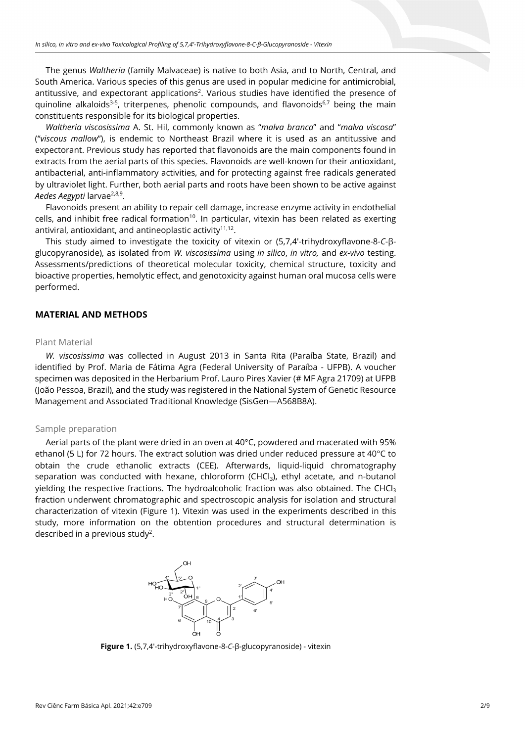The genus *Waltheria* (family Malvaceae) is native to both Asia, and to North, Central, and South America. Various species of this genus are used in popular medicine for antimicrobial, antitussive, and expectorant applications<sup>2</sup>. Various studies have identified the presence of quinoline alkaloids<sup>3-5</sup>, triterpenes, phenolic compounds, and flavonoids<sup>6,7</sup> being the main constituents responsible for its biological properties.

*Waltheria viscosissima* A. St. Hil, commonly known as "*malva branca*" and "*malva viscosa*" ("*viscous mallow*"), is endemic to Northeast Brazil where it is used as an antitussive and expectorant. Previous study has reported that flavonoids are the main components found in extracts from the aerial parts of this species. Flavonoids are well-known for their antioxidant, antibacterial, anti-inflammatory activities, and for protecting against free radicals generated by ultraviolet light. Further, both aerial parts and roots have been shown to be active against *Aedes Aegypti* larvae2,8,9.

Flavonoids present an ability to repair cell damage, increase enzyme activity in endothelial cells, and inhibit free radical formation<sup>10</sup>. In particular, vitexin has been related as exerting antiviral, antioxidant, and antineoplastic activity $11,12$ .

This study aimed to investigate the toxicity of vitexin or (5,7,4'-trihydroxyflavone-8-*C*-βglucopyranoside), as isolated from *W. viscosissima* using *in silico*, *in vitro,* and *ex-vivo* testing. Assessments/predictions of theoretical molecular toxicity, chemical structure, toxicity and bioactive properties, hemolytic effect, and genotoxicity against human oral mucosa cells were performed.

# **MATERIAL AND METHODS**

## Plant Material

*W. viscosissima* was collected in August 2013 in Santa Rita (Paraíba State, Brazil) and identified by Prof. Maria de Fátima Agra (Federal University of Paraíba - UFPB). A voucher specimen was deposited in the Herbarium Prof. Lauro Pires Xavier (# MF Agra 21709) at UFPB (João Pessoa, Brazil), and the study was registered in the National System of Genetic Resource Management and Associated Traditional Knowledge (SisGen—A568B8A).

## Sample preparation

Aerial parts of the plant were dried in an oven at 40°C, powdered and macerated with 95% ethanol (5 L) for 72 hours. The extract solution was dried under reduced pressure at 40°C to obtain the crude ethanolic extracts (CEE). Afterwards, liquid-liquid chromatography separation was conducted with hexane, chloroform (CHCl<sub>3</sub>), ethyl acetate, and n-butanol yielding the respective fractions. The hydroalcoholic fraction was also obtained. The CHCl<sub>3</sub> fraction underwent chromatographic and spectroscopic analysis for isolation and structural characterization of vitexin (Figure 1). Vitexin was used in the experiments described in this study, more information on the obtention procedures and structural determination is described in a previous study<sup>2</sup>.



**Figure 1.** (5,7,4'-trihydroxyflavone-8-*C*-β-glucopyranoside) - vitexin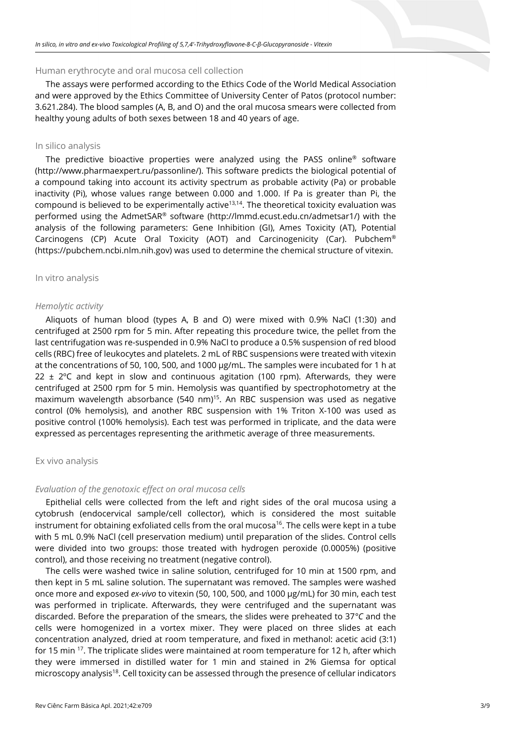#### Human erythrocyte and oral mucosa cell collection

The assays were performed according to the Ethics Code of the World Medical Association and were approved by the Ethics Committee of University Center of Patos (protocol number: 3.621.284). The blood samples (A, B, and O) and the oral mucosa smears were collected from healthy young adults of both sexes between 18 and 40 years of age.

#### In silico analysis

The predictive bioactive properties were analyzed using the PASS online® software (http://www.pharmaexpert.ru/passonline/). This software predicts the biological potential of a compound taking into account its activity spectrum as probable activity (Pa) or probable inactivity (Pi), whose values range between 0.000 and 1.000. If Pa is greater than Pi, the compound is believed to be experimentally active<sup>13,14</sup>. The theoretical toxicity evaluation was performed using the AdmetSAR® software (http://lmmd.ecust.edu.cn/admetsar1/) with the analysis of the following parameters: Gene Inhibition (GI), Ames Toxicity (AT), Potential Carcinogens (CP) Acute Oral Toxicity (AOT) and Carcinogenicity (Car). Pubchem® (https://pubchem.ncbi.nlm.nih.gov) was used to determine the chemical structure of vitexin.

#### In vitro analysis

#### *Hemolytic activity*

Aliquots of human blood (types A, B and O) were mixed with 0.9% NaCl (1:30) and centrifuged at 2500 rpm for 5 min. After repeating this procedure twice, the pellet from the last centrifugation was re-suspended in 0.9% NaCl to produce a 0.5% suspension of red blood cells (RBC) free of leukocytes and platelets. 2 mL of RBC suspensions were treated with vitexin at the concentrations of 50, 100, 500, and 1000 µg/mL. The samples were incubated for 1 h at  $22 \pm 2^{\circ}$ C and kept in slow and continuous agitation (100 rpm). Afterwards, they were centrifuged at 2500 rpm for 5 min. Hemolysis was quantified by spectrophotometry at the maximum wavelength absorbance (540 nm)<sup>15</sup>. An RBC suspension was used as negative control (0% hemolysis), and another RBC suspension with 1% Triton X-100 was used as positive control (100% hemolysis). Each test was performed in triplicate, and the data were expressed as percentages representing the arithmetic average of three measurements.

#### Ex vivo analysis

#### *Evaluation of the genotoxic effect on oral mucosa cells*

Epithelial cells were collected from the left and right sides of the oral mucosa using a cytobrush (endocervical sample/cell collector), which is considered the most suitable instrument for obtaining exfoliated cells from the oral mucosa<sup>16</sup>. The cells were kept in a tube with 5 mL 0.9% NaCl (cell preservation medium) until preparation of the slides. Control cells were divided into two groups: those treated with hydrogen peroxide (0.0005%) (positive control), and those receiving no treatment (negative control).

The cells were washed twice in saline solution, centrifuged for 10 min at 1500 rpm, and then kept in 5 mL saline solution. The supernatant was removed. The samples were washed once more and exposed *ex-vivo* to vitexin (50, 100, 500, and 1000 µg/mL) for 30 min, each test was performed in triplicate. Afterwards, they were centrifuged and the supernatant was discarded. Before the preparation of the smears, the slides were preheated to 37*°C* and the cells were homogenized in a vortex mixer. They were placed on three slides at each concentration analyzed, dried at room temperature, and fixed in methanol: acetic acid (3:1) for 15 min <sup>17</sup>. The triplicate slides were maintained at room temperature for 12 h, after which they were immersed in distilled water for 1 min and stained in 2% Giemsa for optical microscopy analysis<sup>18</sup>. Cell toxicity can be assessed through the presence of cellular indicators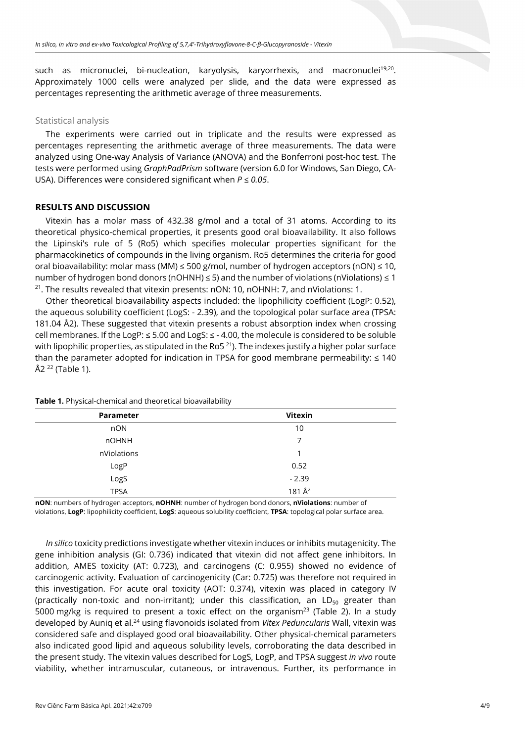such as micronuclei, bi-nucleation, karyolysis, karyorrhexis, and macronuclei<sup>19,20</sup>. Approximately 1000 cells were analyzed per slide, and the data were expressed as percentages representing the arithmetic average of three measurements.

## Statistical analysis

The experiments were carried out in triplicate and the results were expressed as percentages representing the arithmetic average of three measurements. The data were analyzed using One-way Analysis of Variance (ANOVA) and the Bonferroni post-hoc test. The tests were performed using *GraphPadPrism* software (version 6.0 for Windows, San Diego, CA-USA). Differences were considered significant when *P ≤ 0.05*.

### **RESULTS AND DISCUSSION**

Vitexin has a molar mass of 432.38 g/mol and a total of 31 atoms. According to its theoretical physico-chemical properties, it presents good oral bioavailability. It also follows the Lipinski's rule of 5 (Ro5) which specifies molecular properties significant for the pharmacokinetics of compounds in the living organism. Ro5 determines the criteria for good oral bioavailability: molar mass (MM)  $\leq$  500 g/mol, number of hydrogen acceptors (nON)  $\leq$  10, number of hydrogen bond donors (nOHNH) ≤ 5) and the number of violations (nViolations) ≤ 1<br><sup>21</sup>. The results revealed that vitexin presents: nON: 10, nOHNH: 7, and nViolations: 1.

Other theoretical bioavailability aspects included: the lipophilicity coefficient (LogP: 0.52), the aqueous solubility coefficient (LogS: - 2.39), and the topological polar surface area (TPSA: 181.04 Å2). These suggested that vitexin presents a robust absorption index when crossing cell membranes. If the LogP: ≤ 5.00 and LogS: ≤ - 4.00, the molecule is considered to be soluble with lipophilic properties, as stipulated in the Ro5 $^{21}$ ). The indexes justify a higher polar surface than the parameter adopted for indication in TPSA for good membrane permeability:  $\leq 140$  $Å2^{22}$  (Table 1).

| Parameter    | <b>Vitexin</b> |
|--------------|----------------|
| nON          | 10             |
| <b>nOHNH</b> | 7              |
| nViolations  | 1              |
| LogP         | 0.52           |
| LogS         | $-2.39$        |
| <b>TPSA</b>  | 181 $A^2$      |

**Table 1.** Physical-chemical and theoretical bioavailability

**nON**: numbers of hydrogen acceptors, **nOHNH**: number of hydrogen bond donors, **nViolations**: number of violations, **LogP**: lipophilicity coefficient, **LogS**: aqueous solubility coefficient, **TPSA**: topological polar surface area.

*In silico* toxicity predictions investigate whether vitexin induces or inhibits mutagenicity. The gene inhibition analysis (GI: 0.736) indicated that vitexin did not affect gene inhibitors. In addition, AMES toxicity (AT: 0.723), and carcinogens (C: 0.955) showed no evidence of carcinogenic activity. Evaluation of carcinogenicity (Car: 0.725) was therefore not required in this investigation. For acute oral toxicity (AOT: 0.374), vitexin was placed in category IV (practically non-toxic and non-irritant); under this classification, an  $LD_{50}$  greater than 5000 mg/kg is required to present a toxic effect on the organism<sup>23</sup> (Table 2). In a study developed by Auniq et al.24 using flavonoids isolated from *Vitex Peduncularis* Wall, vitexin was considered safe and displayed good oral bioavailability. Other physical-chemical parameters also indicated good lipid and aqueous solubility levels, corroborating the data described in the present study. The vitexin values described for LogS, LogP, and TPSA suggest *in vivo* route viability, whether intramuscular, cutaneous, or intravenous. Further, its performance in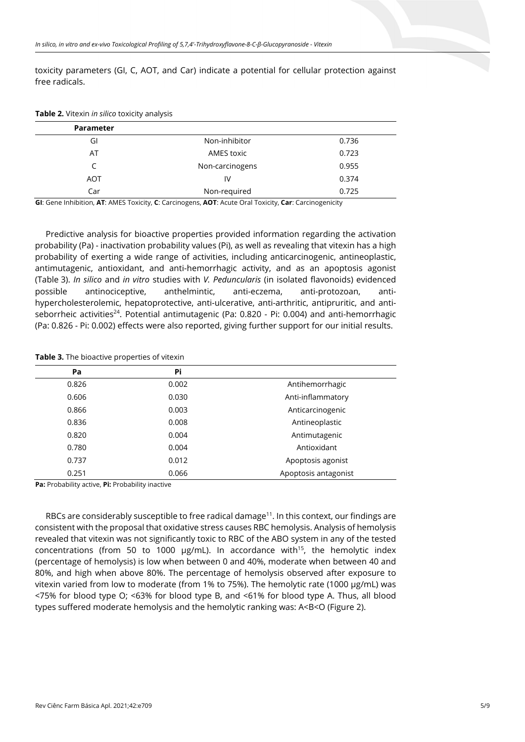toxicity parameters (GI, C, AOT, and Car) indicate a potential for cellular protection against free radicals.

| <b>Parameter</b> |                 |       |
|------------------|-----------------|-------|
| GI               | Non-inhibitor   | 0.736 |
| AT               | AMES toxic      | 0.723 |
| C                | Non-carcinogens | 0.955 |
| <b>AOT</b>       | IV              | 0.374 |
| Car              | Non-required    | 0.725 |

**Table 2.** Vitexin *in silico* toxicity analysis

**GI**: Gene Inhibition, **AT**: AMES Toxicity, **C**: Carcinogens, **AOT**: Acute Oral Toxicity, **Car**: Carcinogenicity

Predictive analysis for bioactive properties provided information regarding the activation probability (Pa) - inactivation probability values (Pi), as well as revealing that vitexin has a high probability of exerting a wide range of activities, including anticarcinogenic, antineoplastic, antimutagenic, antioxidant, and anti-hemorrhagic activity, and as an apoptosis agonist (Table 3). *In silico* and *in vitro* studies with *V. Peduncularis* (in isolated flavonoids) evidenced possible antinociceptive, anthelmintic, anti-eczema, anti-protozoan, antihypercholesterolemic, hepatoprotective, anti-ulcerative, anti-arthritic, antipruritic, and antiseborrheic activities<sup>24</sup>. Potential antimutagenic (Pa:  $0.820$  - Pi:  $0.004$ ) and anti-hemorrhagic (Pa: 0.826 - Pi: 0.002) effects were also reported, giving further support for our initial results.

**Table 3.** The bioactive properties of vitexin

| Pa    | Pi    |                      |
|-------|-------|----------------------|
| 0.826 | 0.002 | Antihemorrhagic      |
| 0.606 | 0.030 | Anti-inflammatory    |
| 0.866 | 0.003 | Anticarcinogenic     |
| 0.836 | 0.008 | Antineoplastic       |
| 0.820 | 0.004 | Antimutagenic        |
| 0.780 | 0.004 | Antioxidant          |
| 0.737 | 0.012 | Apoptosis agonist    |
| 0.251 | 0.066 | Apoptosis antagonist |

**Pa:** Probability active, **Pi:** Probability inactive

RBCs are considerably susceptible to free radical damage<sup>11</sup>. In this context, our findings are consistent with the proposal that oxidative stress causes RBC hemolysis. Analysis of hemolysis revealed that vitexin was not significantly toxic to RBC of the ABO system in any of the tested concentrations (from 50 to 1000  $\mu$ g/mL). In accordance with<sup>15</sup>, the hemolytic index (percentage of hemolysis) is low when between 0 and 40%, moderate when between 40 and 80%, and high when above 80%. The percentage of hemolysis observed after exposure to vitexin varied from low to moderate (from 1% to 75%). The hemolytic rate (1000 µg/mL) was <75% for blood type O; <63% for blood type B, and <61% for blood type A. Thus, all blood types suffered moderate hemolysis and the hemolytic ranking was: A<B<O (Figure 2).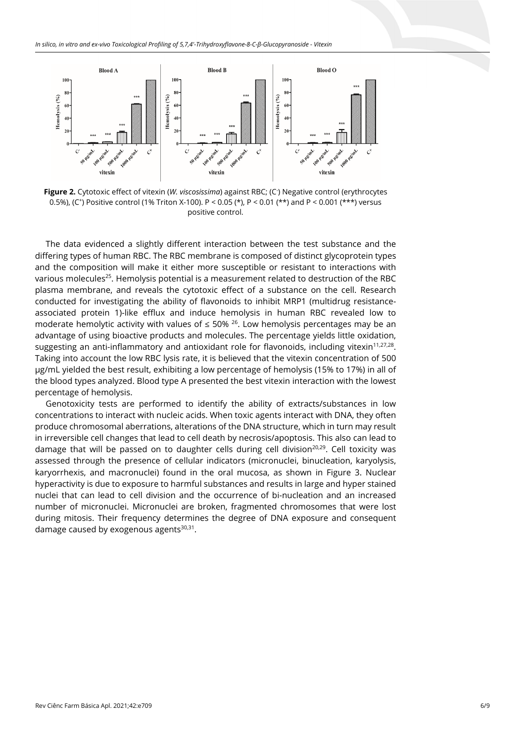

**Figure 2.** Cytotoxic effect of vitexin (*W. viscosissima*) against RBC; (C- ) Negative control (erythrocytes 0.5%), (C+) Positive control (1% Triton X-100). P < 0.05 (\*), P < 0.01 (\*\*) and P < 0.001 (\*\*\*) versus positive control.

The data evidenced a slightly different interaction between the test substance and the differing types of human RBC. The RBC membrane is composed of distinct glycoprotein types and the composition will make it either more susceptible or resistant to interactions with various molecules<sup>25</sup>. Hemolysis potential is a measurement related to destruction of the RBC plasma membrane, and reveals the cytotoxic effect of a substance on the cell. Research conducted for investigating the ability of flavonoids to inhibit MRP1 (multidrug resistanceassociated protein 1)-like efflux and induce hemolysis in human RBC revealed low to moderate hemolytic activity with values of  $\leq$  50% <sup>26</sup>. Low hemolysis percentages may be an advantage of using bioactive products and molecules. The percentage yields little oxidation, suggesting an anti-inflammatory and antioxidant role for flavonoids, including vitexin<sup>11,27,28</sup>. Taking into account the low RBC lysis rate, it is believed that the vitexin concentration of 500 µg/mL yielded the best result, exhibiting a low percentage of hemolysis (15% to 17%) in all of the blood types analyzed. Blood type A presented the best vitexin interaction with the lowest percentage of hemolysis.

Genotoxicity tests are performed to identify the ability of extracts/substances in low concentrations to interact with nucleic acids. When toxic agents interact with DNA, they often produce chromosomal aberrations, alterations of the DNA structure, which in turn may result in irreversible cell changes that lead to cell death by necrosis/apoptosis. This also can lead to damage that will be passed on to daughter cells during cell division<sup>20,29</sup>. Cell toxicity was assessed through the presence of cellular indicators (micronuclei, binucleation, karyolysis, karyorrhexis, and macronuclei) found in the oral mucosa, as shown in Figure 3. Nuclear hyperactivity is due to exposure to harmful substances and results in large and hyper stained nuclei that can lead to cell division and the occurrence of bi-nucleation and an increased number of micronuclei. Micronuclei are broken, fragmented chromosomes that were lost during mitosis. Their frequency determines the degree of DNA exposure and consequent damage caused by exogenous agents $30,31$ .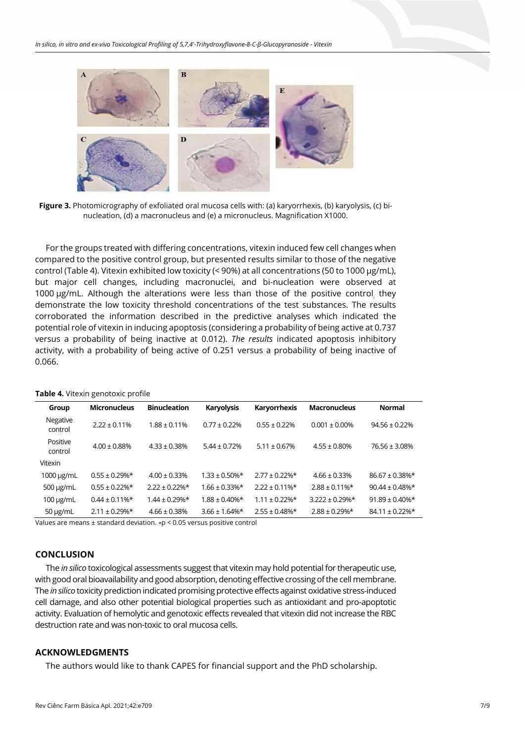

**Figure 3.** Photomicrography of exfoliated oral mucosa cells with: (a) karyorrhexis, (b) karyolysis, (c) binucleation, (d) a macronucleus and (e) a micronucleus. Magnification X1000.

For the groups treated with differing concentrations, vitexin induced few cell changes when compared to the positive control group, but presented results similar to those of the negative control (Table 4). Vitexin exhibited low toxicity (< 90%) at all concentrations (50 to 1000 µg/mL), but major cell changes, including macronuclei, and bi-nucleation were observed at 1000 µg/mL. Although the alterations were less than those of the positive control, they demonstrate the low toxicity threshold concentrations of the test substances. The results corroborated the information described in the predictive analyses which indicated the potential role of vitexin in inducing apoptosis (considering a probability of being active at 0.737 versus a probability of being inactive at 0.012). *The results* indicated apoptosis inhibitory activity, with a probability of being active of 0.251 versus a probability of being inactive of 0.066.

| Group               | <b>Micronucleus</b> | <b>Binucleation</b> | <b>Karyolysis</b>   | Karyorrhexis        | <b>Macronucleus</b>  | <b>Normal</b>        |
|---------------------|---------------------|---------------------|---------------------|---------------------|----------------------|----------------------|
| Negative<br>control | $2.22 \pm 0.11\%$   | $1.88 \pm 0.11\%$   | $0.77 \pm 0.22\%$   | $0.55 \pm 0.22\%$   | $0.001 \pm 0.00\%$   | $94.56 \pm 0.22\%$   |
| Positive<br>control | $4.00 \pm 0.88\%$   | $4.33 \pm 0.38\%$   | $5.44 \pm 0.72\%$   | $5.11 \pm 0.67\%$   | $4.55 \pm 0.80\%$    | $76.56 \pm 3.08\%$   |
| Vitexin             |                     |                     |                     |                     |                      |                      |
| 1000 µg/mL          | $0.55 \pm 0.29\%$ * | $4.00 \pm 0.33\%$   | $1.33 \pm 0.50\%$ * | $2.77 + 0.22\%$ *   | $4.66 \pm 0.33\%$    | $86.67 \pm 0.38\%$ * |
| $500 \mu g/mL$      | $0.55 \pm 0.22\%$ * | $2.22 \pm 0.22\%$ * | $1.66 \pm 0.33\%$ * | $2.22 \pm 0.11\%$ * | $2.88 \pm 0.11\%$ *  | $90.44 \pm 0.48\%$ * |
| $100 \mu g/mL$      | $0.44 \pm 0.11\%$ * | $1.44 \pm 0.29\%$ * | $1.88 \pm 0.40\%$ * | $1.11 \pm 0.22\%$ * | $3.222 \pm 0.29\%$ * | $91.89 \pm 0.40\%$ * |
| $50 \mu g/mL$       | $2.11 \pm 0.29\%$ * | $4.66 \pm 0.38\%$   | $3.66 \pm 1.64\%$ * | $2.55 \pm 0.48\%$ * | $2.88 \pm 0.29\%$ *  | $84.11 \pm 0.22\%$ * |

|  |  |  |  | Table 4. Vitexin genotoxic profile |  |  |
|--|--|--|--|------------------------------------|--|--|
|--|--|--|--|------------------------------------|--|--|

Values are means ± standard deviation. ∗p < 0.05 versus positive control

# **CONCLUSION**

The *in silico* toxicological assessments suggest that vitexin may hold potential for therapeutic use, with good oral bioavailability and good absorption, denoting effective crossing of the cell membrane. The *in silico* toxicity prediction indicated promising protective effects against oxidative stress-induced cell damage, and also other potential biological properties such as antioxidant and pro-apoptotic activity. Evaluation of hemolytic and genotoxic effects revealed that vitexin did not increase the RBC destruction rate and was non-toxic to oral mucosa cells.

# **ACKNOWLEDGMENTS**

The authors would like to thank CAPES for financial support and the PhD scholarship.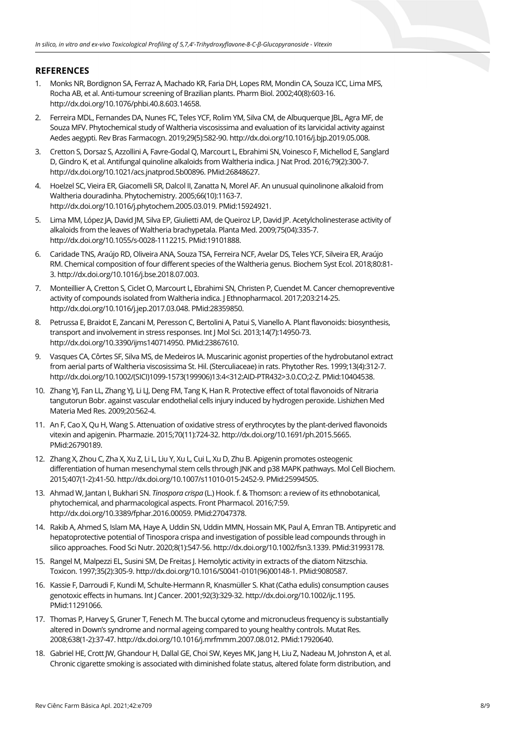# **REFERENCES**

- 1. Monks NR, Bordignon SA, Ferraz A, Machado KR, Faria DH, Lopes RM, Mondin CA, Souza ICC, Lima MFS, Rocha AB, et al. Anti-tumour screening of Brazilian plants. Pharm Biol. 2002;40(8):603-16. [http://dx.doi.org/10.1076/phbi.40.8.603.14658.](https://doi.org/10.1076/phbi.40.8.603.14658)
- 2. Ferreira MDL, Fernandes DA, Nunes FC, Teles YCF, Rolim YM, Silva CM, de Albuquerque JBL, Agra MF, de Souza MFV. Phytochemical study of Waltheria viscosissima and evaluation of its larvicidal activity against Aedes aegypti. Rev Bras Farmacogn. 2019;29(5):582-90[. http://dx.doi.org/10.1016/j.bjp.2019.05.008.](https://doi.org/10.1016/j.bjp.2019.05.008)
- 3. Cretton S, Dorsaz S, Azzollini A, Favre-Godal Q, Marcourt L, Ebrahimi SN, Voinesco F, Michellod E, Sanglard D, Gindro K, et al. Antifungal quinoline alkaloids from Waltheria indica. J Nat Prod. 2016;79(2):300-7. [http://dx.doi.org/10.1021/acs.jnatprod.5b00896.](https://doi.org/10.1021/acs.jnatprod.5b00896) [PMid:26848627.](https://www.ncbi.nlm.nih.gov/entrez/query.fcgi?cmd=Retrieve&db=PubMed&list_uids=26848627&dopt=Abstract)
- 4. Hoelzel SC, Vieira ER, Giacomelli SR, Dalcol II, Zanatta N, Morel AF. An unusual quinolinone alkaloid from Waltheria douradinha. Phytochemistry. 2005;66(10):1163-7. [http://dx.doi.org/10.1016/j.phytochem.2005.03.019.](https://doi.org/10.1016/j.phytochem.2005.03.019) [PMid:15924921.](https://www.ncbi.nlm.nih.gov/entrez/query.fcgi?cmd=Retrieve&db=PubMed&list_uids=15924921&dopt=Abstract)
- 5. Lima MM, López JA, David JM, Silva EP, Giulietti AM, de Queiroz LP, David JP. Acetylcholinesterase activity of alkaloids from the leaves of Waltheria brachypetala. Planta Med. 2009;75(04):335-7. [http://dx.doi.org/10.1055/s-0028-1112215.](https://doi.org/10.1055/s-0028-1112215) [PMid:19101888.](https://www.ncbi.nlm.nih.gov/entrez/query.fcgi?cmd=Retrieve&db=PubMed&list_uids=19101888&dopt=Abstract)
- 6. Caridade TNS, Araújo RD, Oliveira ANA, Souza TSA, Ferreira NCF, Avelar DS, Teles YCF, Silveira ER, Araújo RM. Chemical composition of four different species of the Waltheria genus. Biochem Syst Ecol. 2018;80:81- 3[. http://dx.doi.org/10.1016/j.bse.2018.07.003.](https://doi.org/10.1016/j.bse.2018.07.003)
- 7. Monteillier A, Cretton S, Ciclet O, Marcourt L, Ebrahimi SN, Christen P, Cuendet M. Cancer chemopreventive activity of compounds isolated from Waltheria indica. J Ethnopharmacol. 2017;203:214-25. [http://dx.doi.org/10.1016/j.jep.2017.03.048.](https://doi.org/10.1016/j.jep.2017.03.048) [PMid:28359850.](https://www.ncbi.nlm.nih.gov/entrez/query.fcgi?cmd=Retrieve&db=PubMed&list_uids=28359850&dopt=Abstract)
- 8. Petrussa E, Braidot E, Zancani M, Peresson C, Bertolini A, Patui S, Vianello A. Plant flavonoids: biosynthesis, transport and involvement in stress responses. Int J Mol Sci. 2013;14(7):14950-73. [http://dx.doi.org/10.3390/ijms140714950.](https://doi.org/10.3390/ijms140714950) [PMid:23867610.](https://www.ncbi.nlm.nih.gov/entrez/query.fcgi?cmd=Retrieve&db=PubMed&list_uids=23867610&dopt=Abstract)
- 9. Vasques CA, Côrtes SF, Silva MS, de Medeiros IA. Muscarinic agonist properties of the hydrobutanol extract from aerial parts of Waltheria viscosissima St. Hil. (Sterculiaceae) in rats. Phytother Res. 1999;13(4):312-7. http://dx.doi.org/10.1002/(SICI)1099-1573(199906)13:4<312:AID-PTR432>3.0.CO;2-Z. [PMid:10404538.](https://www.ncbi.nlm.nih.gov/entrez/query.fcgi?cmd=Retrieve&db=PubMed&list_uids=10404538&dopt=Abstract)
- 10. Zhang YJ, Fan LL, Zhang YJ, Li LJ, Deng FM, Tang K, Han R. Protective effect of total flavonoids of Nitraria tangutorun Bobr. against vascular endothelial cells injury induced by hydrogen peroxide. Lishizhen Med Materia Med Res. 2009;20:562-4.
- 11. An F, Cao X, Qu H, Wang S. Attenuation of oxidative stress of erythrocytes by the plant-derived flavonoids vitexin and apigenin. Pharmazie. 2015;70(11):724-32. http://dx.doi.org/10.1691/ph.2015.566[5.](https://www.ncbi.nlm.nih.gov/entrez/query.fcgi?cmd=Retrieve&db=PubMed&list_uids=26790189&dopt=Abstract) [PMid:26790189.](https://www.ncbi.nlm.nih.gov/entrez/query.fcgi?cmd=Retrieve&db=PubMed&list_uids=26790189&dopt=Abstract)
- 12. Zhang X, Zhou C, Zha X, Xu Z, Li L, Liu Y, Xu L, Cui L, Xu D, Zhu B. Apigenin promotes osteogenic differentiation of human mesenchymal stem cells through JNK and p38 MAPK pathways. Mol Cell Biochem. 2015;407(1-2):41-50[. http://dx.doi.org/10.1007/s11010-015-2452-9.](https://doi.org/10.1007/s11010-015-2452-9) [PMid:25994505.](https://www.ncbi.nlm.nih.gov/entrez/query.fcgi?cmd=Retrieve&db=PubMed&list_uids=25994505&dopt=Abstract)
- 13. Ahmad W, Jantan I, Bukhari SN. *Tinospora crispa* (L.) Hook. f. & Thomson: a review of its ethnobotanical, phytochemical, and pharmacological aspects. Front Pharmacol. 2016;7:59. [http://dx.doi.org/10.3389/fphar.2016.00059.](https://doi.org/10.3389/fphar.2016.00059) [PMid:27047378.](https://www.ncbi.nlm.nih.gov/entrez/query.fcgi?cmd=Retrieve&db=PubMed&list_uids=27047378&dopt=Abstract)
- 14. Rakib A, Ahmed S, Islam MA, Haye A, Uddin SN, Uddin MMN, Hossain MK, Paul A, Emran TB. Antipyretic and hepatoprotective potential of Tinospora crispa and investigation of possible lead compounds through in silico approaches. Food Sci Nutr. 2020;8(1):547-56[. http://dx.doi.org/10.1002/fsn3.1339.](https://doi.org/10.1002/fsn3.1339) [PMid:31993178.](https://www.ncbi.nlm.nih.gov/entrez/query.fcgi?cmd=Retrieve&db=PubMed&list_uids=31993178&dopt=Abstract)
- 15. Rangel M, Malpezzi EL, Susini SM, De Freitas J. Hemolytic activity in extracts of the diatom Nitzschia. Toxicon. 1997;35(2):305-9[. http://dx.doi.org/10.1016/S0041-0101\(96\)00148-1.](https://doi.org/10.1016/S0041-0101(96)00148-1) [PMid:9080587.](https://www.ncbi.nlm.nih.gov/entrez/query.fcgi?cmd=Retrieve&db=PubMed&list_uids=9080587&dopt=Abstract)
- 16. Kassie F, Darroudi F, Kundi M, Schulte‐Hermann R, Knasmüller S. Khat (Catha edulis) consumption causes genotoxic effects in humans. Int J Cancer. 2001;92(3):329-32[. http://dx.doi.org/10.1002/ijc.1195.](https://doi.org/10.1002/ijc.1195) [PMid:11291066.](https://www.ncbi.nlm.nih.gov/entrez/query.fcgi?cmd=Retrieve&db=PubMed&list_uids=11291066&dopt=Abstract)
- 17. Thomas P, Harvey S, Gruner T, Fenech M. The buccal cytome and micronucleus frequency is substantially altered in Down's syndrome and normal ageing compared to young healthy controls. Mutat Res. 2008;638(1-2):37-47[. http://dx.doi.org/10.1016/j.mrfmmm.2007.08.012.](https://doi.org/10.1016/j.mrfmmm.2007.08.012) [PMid:17920640.](https://www.ncbi.nlm.nih.gov/entrez/query.fcgi?cmd=Retrieve&db=PubMed&list_uids=17920640&dopt=Abstract)
- 18. Gabriel HE, Crott JW, Ghandour H, Dallal GE, Choi SW, Keyes MK, Jang H, Liu Z, Nadeau M, Johnston A, et al. Chronic cigarette smoking is associated with diminished folate status, altered folate form distribution, and